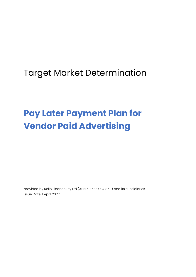## Target Market Determination

# **Pay Later Payment Plan for Vendor Paid Advertising**

provided by Rello Finance Pty Ltd (ABN [60 633 994 859\)](https://abr.business.gov.au/ABN/View?abn=60633994859) and its subsidiaries Issue Date: 1 April 2022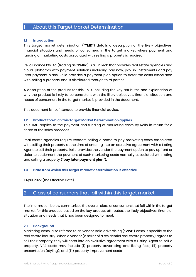## 1 About this Target Market Determination

#### **1.1 Introduction**

This target market determination ("**TMD**") details a description of the likely objectives, financial situation and needs of consumers in the target market where payment and funding of marketing costs associated with selling a property is required.

Rello Finance Pty Ltd (trading as "**Rello**") is a FinTech that provides real estate agencies and cloud-platforms with payment solutions including pay now, pay-in-instalments and pay later payment plans. Rello provides a payment plan option to defer the costs associated with selling a property and is distributed through third parties.

A description of the product for this TMD, including the key attributes and explanation of why the product is likely to be consistent with the likely objectives, financial situation and needs of consumers in the target market is provided in the document.

This document is not intended to provide financial advice.

#### **1.2 Product to which this Target Market Determination applies**

This TMD applies to the payment and funding of marketing costs by Rello in return for a share of the sales proceeds.

Real estate agencies require vendors selling a home to pay marketing costs associated with selling their property at the time of entering into an exclusive agreement with a Listing Agent to sell their property. Rello provides the vendor the payment option to pay upfront or defer to settlement the payment of such marketing costs normally associated with listing and selling a property ("**pay later payment plan**").

#### **1.3 Date from which this target market determination is effective**

1 April 2022 (the Effective Date).

## 2 Class of consumers that fall within this target market

The information below summarises the overall class of consumers that fall within the target market for this product, based on the key product attributes, the likely objectives, financial situation and needs that it has been designed to meet.

#### **2.1 Background**

Marketing costs, also referred to as vendor paid advertising ("**VPA**") costs is specific to the real estate industry. When a vendor (a seller of a residential real estate property) agrees to sell their property, they will enter into an exclusive agreement with a Listing Agent to sell a property. VPA costs may include (i) property advertising and listing fees; (ii) property presentation (styling); and (iii) property improvement costs.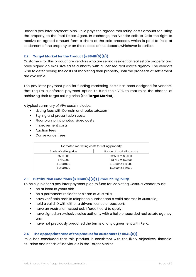Under a pay later payment plan, Rello pays the agreed marketing costs amount for listing the property, to the Real Estate Agent. In exchange, the Vendor sells to Rello the right to receive an agreed amount form a share of the sale proceeds, which is paid to Rello at settlement of the property or on the release of the deposit, whichever is earliest.

#### **2.2 Target Market for the Product (s 994B(5)(b))**

Customers for this product are vendors who are selling residential real estate property and have signed an exclusive sales authority with a licensed real estate agency. The vendors wish to defer paying the costs of marketing their property, until the proceeds of settlement are available.

The pay later payment plan for funding marketing costs has been designed for vendors, that require a deferred payment option to fund their VPA to maximise the chance of achieving their target selling price (the **Target Market**).

A typical summary of VPA costs includes:

- Listing fees with Domain and realestate.com
- Styling and presentation costs
- Floor plan, print, photos, video costs
- **·** Improvement costs
- Auction fees
- Convevancer fees

| <b>Estimated marketing costs for selling property</b> |                                            |  |  |  |  |  |  |  |
|-------------------------------------------------------|--------------------------------------------|--|--|--|--|--|--|--|
| Scale of selling price                                | Range of marketing costs                   |  |  |  |  |  |  |  |
| \$500,000                                             | \$2,500 to \$5,000                         |  |  |  |  |  |  |  |
| \$750,000                                             | \$3,750 to \$7,500                         |  |  |  |  |  |  |  |
| \$1,000,000                                           | \$5,000 to \$10,000<br>\$7,500 to \$12,500 |  |  |  |  |  |  |  |
| \$1,500,000                                           |                                            |  |  |  |  |  |  |  |

#### **2.3 Distribution conditions (s 994B(5)(c)) | Product Eligibility**

To be eligible for a pay later payment plan to fund for Marketing Costs, a Vendor must;

- be at least 18 years old;
- be a permanent resident or citizen of Australia;
- **•** have verifiable mobile telephone number and a valid address in Australia;
- hold a valid ID with either a drivers licence or passport;
- have an Australian issued debit/credit card to apply;
- have signed an exclusive sales authority with a Rello onboarded real estate agency; and
- have not previously breached the terms of any agreement with Rello.

#### **2.4 The appropriateness of the product for customers (s 994B(8))**

Rello has concluded that this product is consistent with the likely objectives, financial situation and needs of individuals in the Target Market.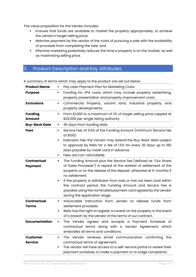The value proposition for the Vendor includes:

- **Ensures that funds are available to market the property appropriately, to achieve** the vendor's target selling price;
- **•** Matches payment by the vendor of the costs of pursuing a sale with the availability of proceeds from completing the sale; and
- **Effective marketing potentially reduces the time a property is on the market, as well** as maximising selling price.

## 3 Product Description and Key Attributes

| <b>Product Name</b>                  | Pay Later Payment Plan for Marketing Costs                                                                                                                                                                                                                                                                                                                                                                                                                          |  |  |  |  |  |  |
|--------------------------------------|---------------------------------------------------------------------------------------------------------------------------------------------------------------------------------------------------------------------------------------------------------------------------------------------------------------------------------------------------------------------------------------------------------------------------------------------------------------------|--|--|--|--|--|--|
| <b>Purpose</b>                       | Funding for VPA costs, which may include property advertising,<br>٠<br>property presentation and property improvement costs.                                                                                                                                                                                                                                                                                                                                        |  |  |  |  |  |  |
| <b>Exclusions</b>                    | Commercial Property, vacant land, industrial property,<br>and<br>п<br>property developments.                                                                                                                                                                                                                                                                                                                                                                        |  |  |  |  |  |  |
| <b>Funding</b><br>Amount             | From \$1,000 to a maximum of 2% of target selling price capped at<br>\$25,000 per single listing authority                                                                                                                                                                                                                                                                                                                                                          |  |  |  |  |  |  |
| <b>Buy-Back Date</b>                 | 90 days from funding date<br>٠                                                                                                                                                                                                                                                                                                                                                                                                                                      |  |  |  |  |  |  |
| <b>Fees</b>                          | Service Fee: of 5.5% of the Funding Amount (minimum Service Fee<br>of \$100)<br>Extension Fee: the Vendor may extend the Buy-Back date subject<br>to approval by Rello for a fee of 1.5% for every 30 days up to 180<br>days payable by credit card in advance.<br>Fees are non-refundable.                                                                                                                                                                         |  |  |  |  |  |  |
| <b>Contractual</b><br><b>Payment</b> | The Funding Amount plus the Service Fee (defined as "Our Share<br>of Sales Proceeds") is repaid at the earliest of settlement of the<br>property or on the release of the deposit, otherwise at 6-months if<br>no settlement.<br>If the property is withdrawn from sale or has not been sold within<br>the contract period, the Funding Amount and Service Fee is<br>payable using the nominated payment card agreed by the vendor<br>during the application stage. |  |  |  |  |  |  |
| Contractual<br>Terms                 | Irrevocable instruction from vendor to release funds from<br>٠<br>settlement proceeds.<br>Rello has the right to register a caveat on the property in the event<br>٠<br>of a breach by the vendor of the terms of our contract.                                                                                                                                                                                                                                     |  |  |  |  |  |  |
| <b>Documentation</b>                 | The Vendor agrees and accepts a Payment Schedule of<br>٠<br>contractual terms along with a Vendor Agreement, which<br>embodies all terms and conditions.                                                                                                                                                                                                                                                                                                            |  |  |  |  |  |  |
| <b>Customer</b><br><b>Service</b>    | The Vendor receives email communication confirming the<br>٠<br>contractual terms of agreement.<br>The vendor will have access to a self-service portal to review their<br>payment schedule, to make a payment or to lodge complaints.                                                                                                                                                                                                                               |  |  |  |  |  |  |

A summary of terms which may apply to the product are set out below: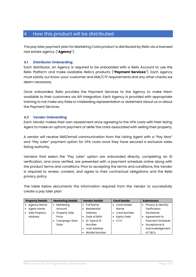### 4 How this product will be distributed

The pay later payment plan for Marketing Costs product is distributed by Rello via a licensed real estate agency ("**Agency**").

#### **4.1 Distributor Onboarding**

Each distributor, an Agency is required to be onboarded with a Rello Account to use the Rello Platform and make available Rello's products ("**Payment Services**"). Each Agency must satisfy our know-your-customer and AML/CTF requirements and any other checks we deem necessary.

Once onboarded, Rello provides the Payment Services to the Agency to make them available to their customers via API integration. Each Agency is provided with appropriate training to not make any false or misleading representation or statement about us or about the Payment Services.

#### **4.2 Vendor Onboarding**

Each Vendor makes their own assessment once agreeing to the VPA costs with their listing Agent to make an upfront payment of defer the costs associated with selling their property.

A vendor will receive SMS/email communication from the Listing Agent with a "Pay Now" and "Pay Later" payment option for VPA costs once they have secured a exclusive sales listing authority.

Vendors that select the "Pay Later" option are onboarded directly, completing an ID verification, and once verified, are presented with a payment schedule online along with the product terms and conditions. Prior to accepting the terms and conditions, the Vendor is required to review, consent, and agree to their contractual obligations and the Rello privacy policy.

The table below documents the information required from the Vendor to successfully create a pay later plan:

| <b>Property Details</b> |                    | <b>Marketing Details</b> |           | <b>Vendor Details</b> |           | <b>Card Details</b> |  | <b>Submission</b>  |  |
|-------------------------|--------------------|--------------------------|-----------|-----------------------|-----------|---------------------|--|--------------------|--|
|                         | <b>Agency Name</b> | Marketing                |           | <b>Full Name</b>      |           | Card Holder         |  | Privacy & Identity |  |
|                         | Agent name         | Amount                   |           | Residential           |           | Name                |  | Verification       |  |
|                         | Sale Property      | <b>Property Sale</b>     |           | Address               |           | Card Number         |  | Disclaimer         |  |
|                         | Address            | Price                    |           | Date of Birth         |           | <b>Expiry Date</b>  |  | • Agreement to     |  |
|                         |                    | Campaign Start           | $\bullet$ | ID Type & ID          | $\bullet$ | CCV                 |  | Payment Schedule   |  |
|                         |                    | Date                     |           | Number                |           |                     |  | Acceptance &       |  |
|                         |                    |                          |           | mail Address          |           |                     |  | Acknowledgement    |  |
|                         |                    |                          |           | Mobile Number         |           |                     |  | of T&Cs            |  |